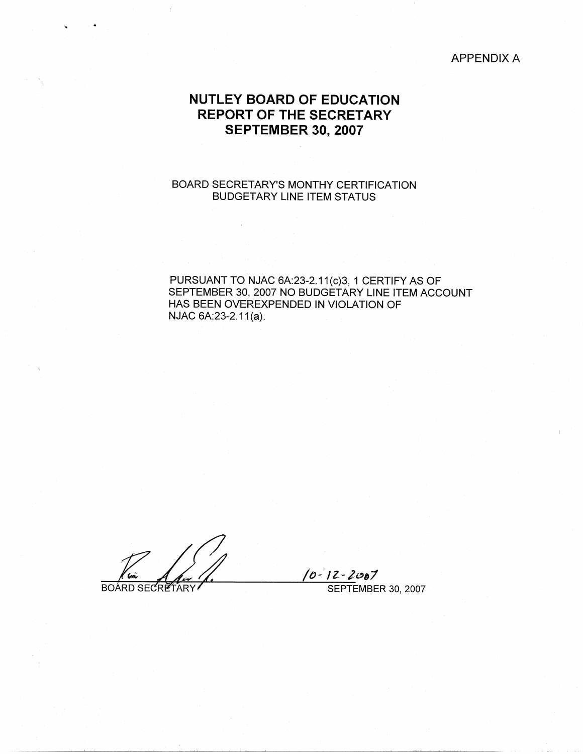APPENDIX A

# **NUTLEY BOARD OF EDUCATION REPORT OF THE SECRETARY SEPTEMBER 30, 2007**

## BOARD SECRETARY'S MONTHY CERTIFICATION BUDGETARY LINE ITEM STATUS

PURSUANT TO NJAC 6A:23-2.11(c)3, 1 CERTIFY AS OF SEPTEMBER 30, 2007 NO BUDGETARY LINE ITEM ACCOUNT HAS BEEN OVEREXPENDED IN VIOLATION OF NJAC 6A:23-2.11(a).

BOARD SECRETARY

..

*/o-· 1z-i~,1*  SEPTEMBER 30, 2007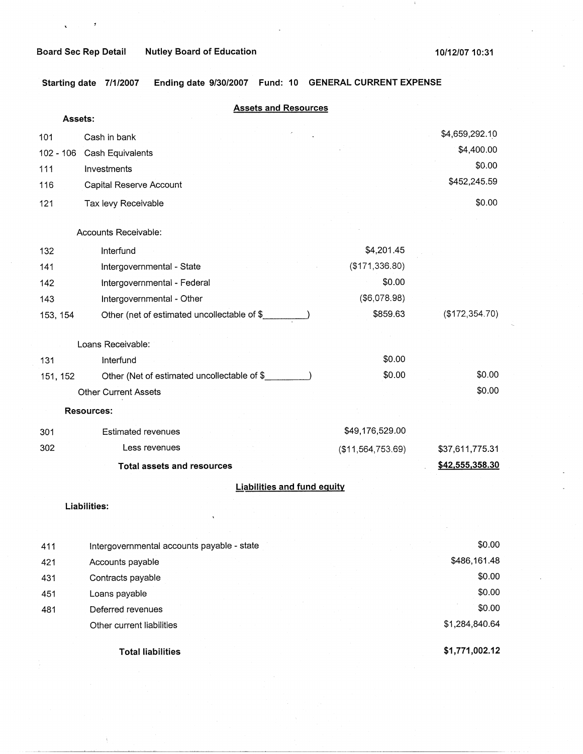$\mathcal{I}$ 

 $\mathbf{c}^{\pm}$ 

**Starting date 7/1/2007 Ending date 9/30/2007 Fund: 10 GENERAL CURRENT EXPENSE** 

| Assets:   | <b>Assets and Resources</b>                 |                   |                 |
|-----------|---------------------------------------------|-------------------|-----------------|
| 101       | Cash in bank                                |                   | \$4,659,292.10  |
| 102 - 106 | Cash Equivalents                            |                   | \$4,400.00      |
| 111       | Investments                                 |                   | \$0.00          |
| 116       | Capital Reserve Account                     |                   | \$452,245.59    |
| 121       | Tax levy Receivable                         |                   | \$0.00          |
|           |                                             |                   |                 |
|           | Accounts Receivable:                        |                   |                 |
| 132       | Interfund                                   | \$4,201.45        |                 |
| 141       | Intergovernmental - State                   | (\$171,336.80)    |                 |
| 142       | Intergovernmental - Federal                 | \$0.00            |                 |
| 143       | Intergovernmental - Other                   | (\$6,078.98)      |                 |
| 153, 154  | Other (net of estimated uncollectable of \$ | \$859.63          | (\$172,354.70)  |
|           | Loans Receivable:                           |                   |                 |
| 131       | Interfund                                   | \$0.00            |                 |
| 151, 152  | Other (Net of estimated uncollectable of \$ | \$0.00            | \$0.00          |
|           | <b>Other Current Assets</b>                 |                   | \$0.00          |
|           | Resources:                                  |                   |                 |
| 301       | <b>Estimated revenues</b>                   | \$49,176,529.00   |                 |
| 302       | Less revenues                               | (\$11,564,753.69) | \$37,611,775.31 |
|           | <b>Total assets and resources</b>           |                   | \$42,555,358.30 |
|           | <b>Liabilities and fund equity</b>          |                   |                 |
|           | Liabilities:                                |                   |                 |
|           |                                             |                   |                 |
| 411       | Intergovernmental accounts payable - state  |                   | \$0.00          |
| 421       | Accounts payable                            |                   | \$486,161.48    |
| 431       | Contracts payable                           |                   | \$0.00          |
| 451       | Loans payable                               |                   | \$0.00          |
| 481       | Deferred revenues                           |                   | \$0.00          |
|           | Other current liabilities                   |                   | \$1,284,840.64  |
|           |                                             |                   |                 |

**Total liabilities** 

**\$1,771,002.12**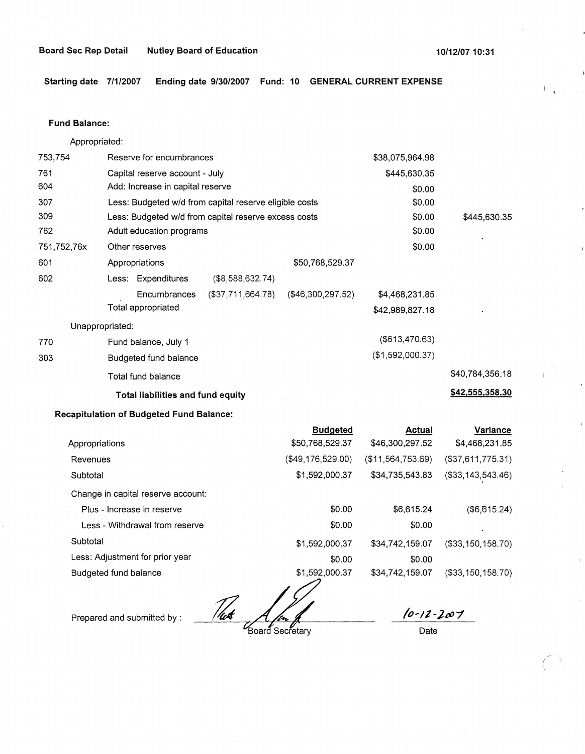**Starting date 7/1/2007 Ending date 9/30/2007 Fund: 10 GENERAL CURRENT EXPENSE** 

### **Fund Balance:**

753,754 761 604 Appropriated: Reserve for encumbrances Capital reserve account - July Add: Increase in capital reserve 307 309 762 751,752,76x 601 Less: Budgeted w/d from capital reserve eligible costs Less: Budgeted w/d from capital reserve excess costs Adult education programs 602 770 303 Other reserves Appropriations \$50,768,529.37 Less: Expenditures (\$8,588,632.74) Encumbrances (\$37,711,664.78) (\$46,300,297.52) Total appropriated Unappropriated: Fund balance, July 1 Budgeted fund balance Total fund balance **Total liabilities and fund equity Recapitulation of Budgeted Fund Balance: Budgeted**  \$38,075,964.98 \$445,630.35 \$0.00 \$0.00 \$0.00 \$0.00 \$0.00 \$4,468,231.85 \$42,989,827.18 (\$613,470.63) (\$1,592,000.37) **Actual**  \$445,630.35 \$40,784,356.18 **\$42,555,358.30 Variance** 

|                                    | ________________  | $-$               |                      |
|------------------------------------|-------------------|-------------------|----------------------|
| Appropriations                     | \$50,768,529.37   | \$46,300,297.52   | \$4,468,231.85       |
| Revenues                           | (\$49,176,529.00) | (\$11,564,753.69) | (\$37,611,775.31)    |
| Subtotal                           | \$1,592,000.37    | \$34,735,543.83   | ( \$33, 143, 543.46) |
| Change in capital reserve account: |                   |                   |                      |
| Plus - Increase in reserve         | \$0.00            | \$6,615.24        | (\$6,615.24)         |
| Less - Withdrawal from reserve     | \$0.00            | \$0.00            |                      |
| Subtotal                           | \$1,592,000.37    | \$34.742.159.07   | (\$33,150,158.70)    |
| Less: Adjustment for prior year    | \$0.00            | \$0.00            |                      |
| Budgeted fund balance              | \$1,592,000.37    | \$34,742,159.07   | (\$33,150,158.70)    |

Prepared and submitted by : *rate Affer* 

*/o-12-)c0'1*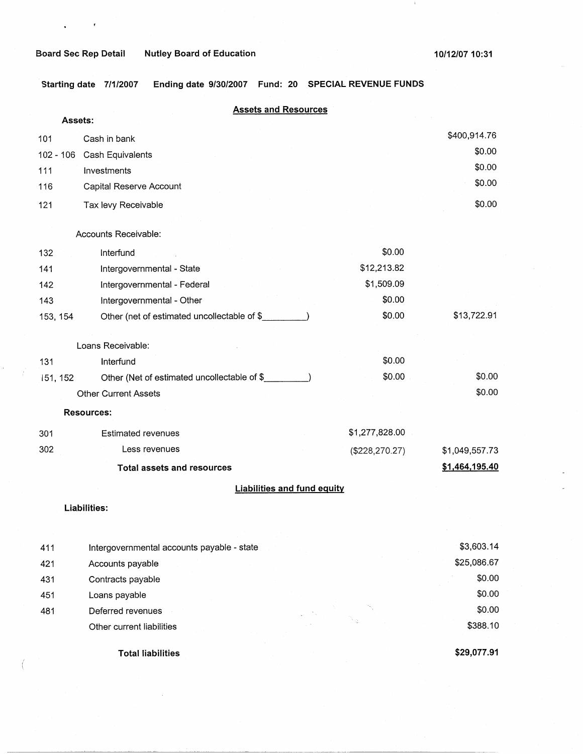$\mathbf{v} = \mathbf{v} \in \mathbb{R}^{d}$ 

 $\epsilon$ 

í

 $\mathbf{1}$ 

**Starting date 7/1/2007 Ending date 9/30/2007 Fund: 20 SPECIAL REVENUE FUNDS** 

|           | <b>Assets and Resources</b>                 |                |                |
|-----------|---------------------------------------------|----------------|----------------|
| Assets:   |                                             |                |                |
| 101       | Cash in bank                                |                | \$400,914.76   |
| 102 - 106 | Cash Equivalents                            |                | \$0.00         |
| 111       | Investments                                 |                | \$0.00         |
| 116       | Capital Reserve Account                     |                | \$0.00         |
| 121       | Tax levy Receivable                         |                | \$0.00         |
|           |                                             |                |                |
|           | Accounts Receivable:                        |                |                |
| 132       | Interfund                                   | \$0.00         |                |
| 141       | Intergovernmental - State                   | \$12,213.82    |                |
| 142       | Intergovernmental - Federal                 | \$1,509.09     |                |
| 143       | Intergovernmental - Other                   | \$0.00         |                |
| 153, 154  | Other (net of estimated uncollectable of \$ | \$0.00         | \$13,722.91    |
|           | Loans Receivable:                           |                |                |
| 131       | Interfund                                   | \$0.00         |                |
| 151, 152  | Other (Net of estimated uncollectable of \$ | \$0.00         | \$0.00         |
|           | <b>Other Current Assets</b>                 |                | \$0.00         |
|           | <b>Resources:</b>                           |                |                |
| 301       | <b>Estimated revenues</b>                   | \$1,277,828.00 |                |
| 302       | Less revenues                               | (\$228,270.27) | \$1,049,557.73 |
|           | <b>Total assets and resources</b>           |                | \$1,464,195.40 |
|           | <b>Liabilities and fund equity</b>          |                |                |
|           | Liabilities:                                |                |                |

| 411 | Intergovernmental accounts payable - state | \$3,603.14  |
|-----|--------------------------------------------|-------------|
| 421 | Accounts payable                           | \$25,086.67 |
| 431 | Contracts payable                          | \$0.00      |
| 451 | Loans payable                              | \$0.00      |
| 481 | Deferred revenues                          | \$0.00      |
|     | Other current liabilities                  | \$388.10    |
|     | <b>Total liabilities</b>                   | \$29,077.91 |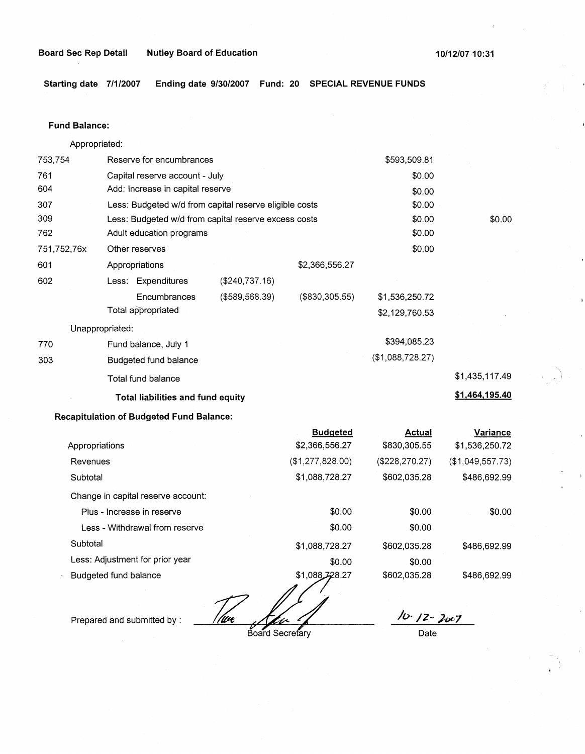**Starting date 7/1/2007 Ending date 9/30/2007 Fund: 20 SPECIAL REVENUE FUNDS** 

### **Fund Balance:**

753,754 761 604 307 309 Appropriated: Reserve for encumbrances Capital reserve account - July Add: Increase in capital reserve Less: Budgeted w/d from capital reserve eligible costs Less: Budgeted w/d from capital reserve excess costs \$593,509.81 \$0.00 \$0.00 \$0.00 \$0.00 762 751,752,76x 601 Adult education programs  $$0.00$ 602 770 303 Other reserves \$0.00 Appropriations Less: Expenditures (\$240,737.16) **Encumbrances** Total appropriated Unappropriated: Fund balance, July 1 Budgeted fund balance Total fund balance (\$589,568.39) **Total liabilities and fund equity Recapitulation of Budgeted Fund Balance:**  Appropriations Revenues **Subtotal** \$2,366,556.27 (\$830,305.55) \$1,536,250.72 \$2,129,760.53 \$394,085.23 (\$1,088,728.27) **Budgeted Actual**  \$2,366,556.27 \$830,305.55 (\$1,277,828.00) (\$228,270.27) \$1,088,728.27 \$602,035.28 \$0.00 \$1,435,117.49 **\$1,464,195.40 Variance**  \$1,536,250.72 (\$1,049,557.73) \$486,692.99

Change in capital reserve account:

| Plus - Increase in reserve      | \$0.00         | \$0.00       | \$0.00       |
|---------------------------------|----------------|--------------|--------------|
| Less - Withdrawal from reserve  | \$0.00         | \$0.00       |              |
| Subtotal                        | \$1,088,728.27 | \$602,035.28 | \$486,692.99 |
| Less: Adjustment for prior year | \$0.00         | \$0.00       |              |
| Budgeted fund balance           | \$1,088,728.27 | \$602,035.28 | \$486,692.99 |

Prepared and submitted by : *I lux Alu 4* 7 10 12 2007

Board Secretary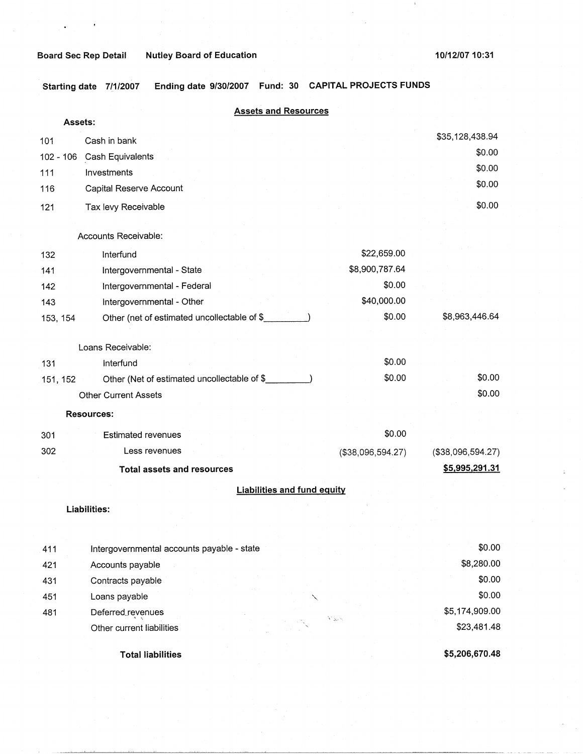$\bar{1}$ 

**Starting date 7/1/2007 Ending date 9/30/2007 Fund: 30 CAPITAL PROJECTS FUNDS** 

|                  | <b>Assets and Resources</b><br>Assets:      |                   |                   |
|------------------|---------------------------------------------|-------------------|-------------------|
|                  | Cash in bank                                |                   | \$35,128,438.94   |
| 101              |                                             |                   | \$0.00            |
| 102 - 106<br>111 | Cash Equivalents<br>Investments             |                   | \$0.00            |
| 116              | Capital Reserve Account                     |                   | \$0.00            |
| 121              | Tax levy Receivable                         |                   | \$0.00            |
|                  |                                             |                   |                   |
|                  | Accounts Receivable:                        |                   |                   |
| 132              | Interfund                                   | \$22,659.00       |                   |
| 141              | Intergovernmental - State                   | \$8,900,787.64    |                   |
| 142              | Intergovernmental - Federal                 | \$0.00            |                   |
| 143              | Intergovernmental - Other                   | \$40,000.00       |                   |
| 153, 154         | Other (net of estimated uncollectable of \$ | \$0.00            | \$8,963,446.64    |
|                  | Loans Receivable:                           |                   |                   |
| 131              | Interfund                                   | \$0.00            |                   |
| 151, 152         | Other (Net of estimated uncollectable of \$ | \$0.00            | \$0.00            |
|                  | <b>Other Current Assets</b>                 |                   | \$0.00            |
|                  | <b>Resources:</b>                           |                   |                   |
| 301              | <b>Estimated revenues</b>                   | \$0.00            |                   |
| 302              | Less revenues                               | (\$38,096,594.27) | (\$38,096,594.27) |
|                  | <b>Total assets and resources</b>           |                   | \$5,995,291.31    |
|                  | <b>Liabilities and fund equity</b>          |                   |                   |
|                  | Liabilities:                                |                   |                   |
|                  |                                             |                   |                   |
| 411              | Intergovernmental accounts payable - state  |                   | \$0.00            |
| 421              | Accounts payable                            |                   | \$8,280.00        |
| 431              | Contracts payable                           |                   | \$0.00            |
| 451              | Loans payable                               |                   | \$0.00            |
| 481              | Deferred revenues                           |                   | \$5,174,909.00    |
|                  | Other current liabilities                   | アダン               | \$23,481.48       |
|                  | <b>Total liabilities</b>                    |                   | \$5,206,670.48    |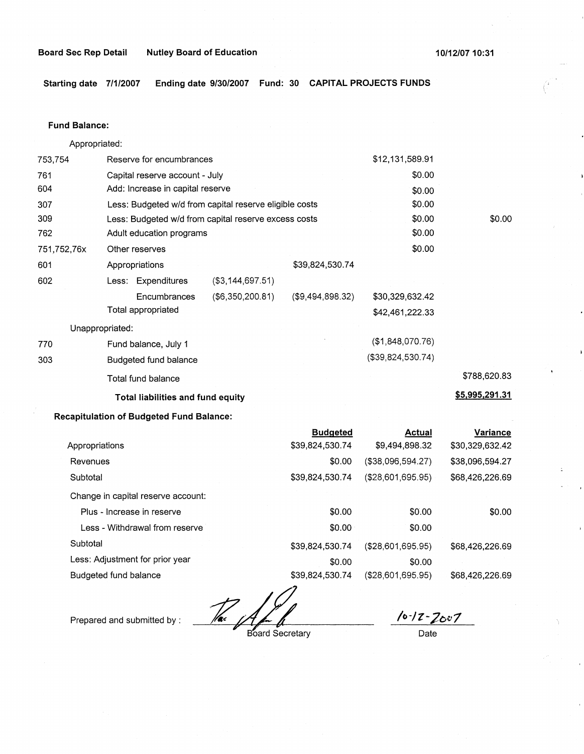**Starting date 7/1/2007 Ending date 9/30/2007 Fund: 30 CAPITAL PROJECTS FUNDS** 

### **Fund Balance:**

753,754 761 604 Appropriated: Reserve for encumbrances Capital reserve account - July Add: Increase in capital reserve 307 309 762 751,752,76x 601 Less: Budgeted w/d from capital reserve eligible costs Less: Budgeted w/d from capital reserve excess costs Adult education programs \$12,131,589.91 \$0.00 \$0.00 \$0.00 \$0.00 \$0.00 602 Other reserves Appropriations Less: Expenditures **Encumbrances** Total appropriated Unappropriated: 770 Fund balance, July 1 303 Budgeted fund balance Total fund balance (\$3,144,697.51) (\$6,350,200.81) **Total liabilities and fund equity Recapitulation of Budgeted Fund Balance:**  \$39,824,530.74 (\$9,494,898.32) **Budgeted**  \$0.00 \$30,329,632.42 \$42,461,222.33 (\$1,848,070.76) (\$39,824,530.74) **Actual**  \$0.00 \$788,620.83 **\$5,995,291.31 Variance** 

| \$39,824,530.74 | \$9,494,898.32     | \$30,329,632.42 |
|-----------------|--------------------|-----------------|
| \$0.00          | (\$38,096,594.27)  | \$38,096,594.27 |
| \$39,824,530.74 | (\$28,601,695.95)  | \$68,426,226.69 |
|                 |                    |                 |
| \$0.00          | \$0.00             | \$0.00          |
| \$0.00          | \$0.00             |                 |
| \$39,824,530.74 | (\$28,601,695.95)  | \$68,426,226.69 |
| \$0.00          | \$0.00             |                 |
| \$39,824,530.74 | ( \$28,601,695.95) | \$68,426,226.69 |
|                 |                    |                 |

 $\mathbb{Z}_{p}$ 

Prepared and submitted by :

Board Secretary

*l*o-12-Zou7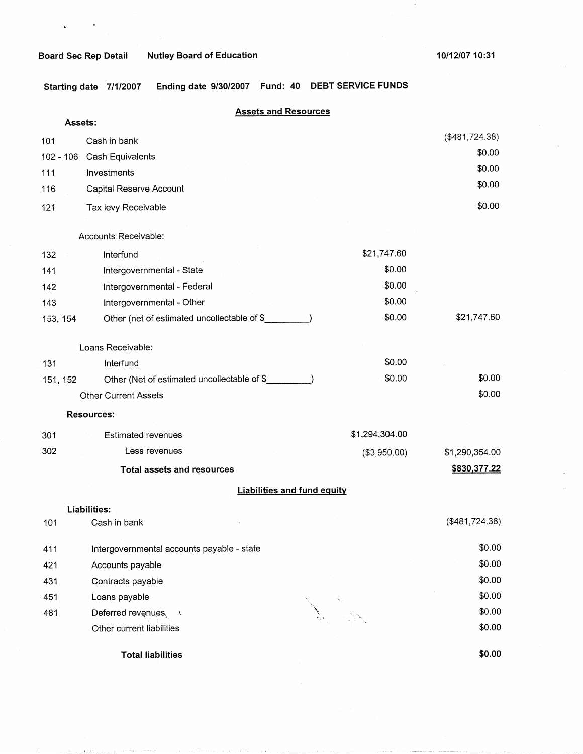$\bar{\mathbf{r}}$ 

 $\epsilon$ 

**Board Sec Rep Detail Nutley Board of Education** 

 $\mathcal{A}$ 

**Starting date 7/1/2007 Ending date 9/30/2007 Fund: 40 DEBT SERVICE FUNDS** 

## **Assets and Resources**

| Assets:   |                                              |                |                |
|-----------|----------------------------------------------|----------------|----------------|
| 101       | Cash in bank                                 |                | (\$481,724.38) |
| 102 - 106 | Cash Equivalents                             |                | \$0.00         |
| 111       | Investments                                  |                | \$0.00         |
| 116       | Capital Reserve Account                      |                | \$0.00         |
| 121       | Tax levy Receivable                          |                | \$0.00         |
|           | Accounts Receivable:                         |                |                |
| 132       | Interfund                                    | \$21,747.60    |                |
| 141       | Intergovernmental - State                    | \$0.00         |                |
| 142       | Intergovernmental - Federal                  | \$0.00         |                |
| 143       | Intergovernmental - Other                    | \$0.00         |                |
| 153, 154  | Other (net of estimated uncollectable of \$  | \$0.00         | \$21,747.60    |
|           | Loans Receivable:                            |                |                |
| 131       | Interfund                                    | \$0.00         |                |
| 151, 152  | Other (Net of estimated uncollectable of \$_ | \$0.00         | \$0.00         |
|           | <b>Other Current Assets</b>                  |                | \$0.00         |
|           | <b>Resources:</b>                            |                |                |
| 301       | <b>Estimated revenues</b>                    | \$1,294,304.00 |                |
| 302       | Less revenues                                | (\$3,950.00)   | \$1,290,354.00 |
|           | <b>Total assets and resources</b>            |                | \$830,377.22   |
|           | <b>Liabilities and fund equity</b>           |                |                |
|           | Liabilities:                                 |                |                |
| 101       | Cash in bank                                 |                | (\$481,724.38) |
| 411       | Intergovernmental accounts payable - state   |                | \$0.00         |
| 421       | Accounts payable                             |                | \$0.00         |
| 431       | Contracts payable                            |                | \$0.00         |
| 451       | Loans payable                                |                | \$0.00         |
| 481       | Deferred revenues<br>- 5                     |                | \$0.00         |
|           | Other current liabilities                    |                | \$0.00         |
|           | <b>Total liabilities</b>                     |                | \$0.00         |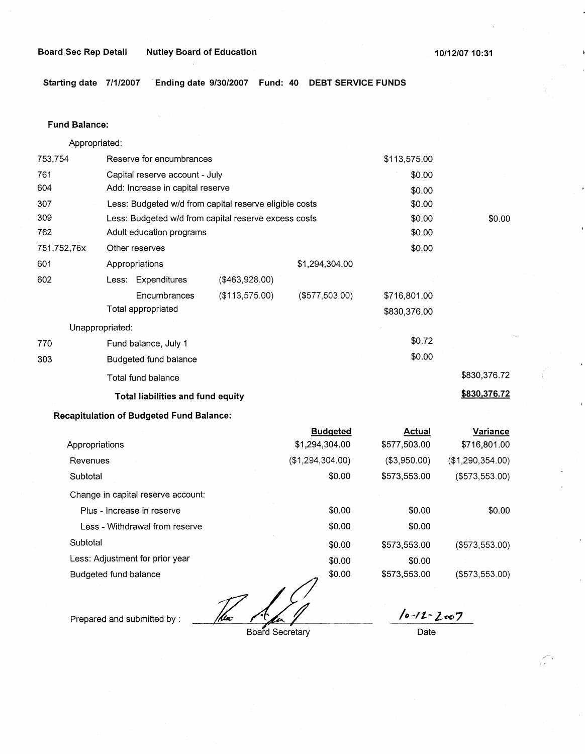**Board Sec Rep Detail Nutley Board of Education 10/12/0710:31** 

**Starting date 7/1/2007 Ending date 9/30/2007 Fund: 40 DEBT SERVICE FUNDS** 

## **Fund Balance:**

753,754 761 604 Appropriated: Reserve for encumbrances Capital reserve account - July Add: Increase in capital reserve 307 309 762 751,752,76x 601 Less: Budgeted w/d from capital reserve eligible costs Less: Budgeted w/d from capital reserve excess costs Adult education programs 602 770 303 Other reserves Appropriations Less: Expenditures **Encumbrances** Total appropriated Unappropriated: Fund balance, July 1 Budgeted fund balance Total fund balance (\$463,928.00) (\$113,575.00) \$1,294,304.00 (\$577,503.00) **Total liabilities and fund equity Recapitulation of Budgeted Fund Balance:**  \$113,575.00 \$0.00 \$0.00 \$0.00 \$0.00 \$0.00 \$0.00 \$716,801.00 \$830,376.00 \$0.72 \$0.00 \$0.00 \$830,376.72 **\$830,376.72** 

|                                    | <b>Budgeted</b>  | <b>Actual</b> | Variance         |
|------------------------------------|------------------|---------------|------------------|
| Appropriations                     | \$1,294,304.00   | \$577,503.00  | \$716,801.00     |
| Revenues                           | (\$1,294,304.00) | ( \$3,950.00) | (\$1,290,354.00) |
| Subtotal                           | \$0.00           | \$573,553.00  | ( \$573, 553.00) |
| Change in capital reserve account: |                  |               |                  |
| Plus - Increase in reserve         | \$0.00           | \$0.00        | \$0.00           |
| Less - Withdrawal from reserve     | \$0.00           | \$0.00        |                  |
| Subtotal                           | \$0.00           | \$573,553.00  | (\$573,553.00)   |
| Less: Adjustment for prior year    | \$0.00           | \$0.00        |                  |
| Budgeted fund balance              | \$0.00           | \$573,553.00  | (\$573,553.00)   |
|                                    |                  |               |                  |

/kw

Prepared and submitted by :

**<sup>7</sup>**Board Secretary

*/o~lt- l.o07* 

 $\left\langle \cdot \right\rangle$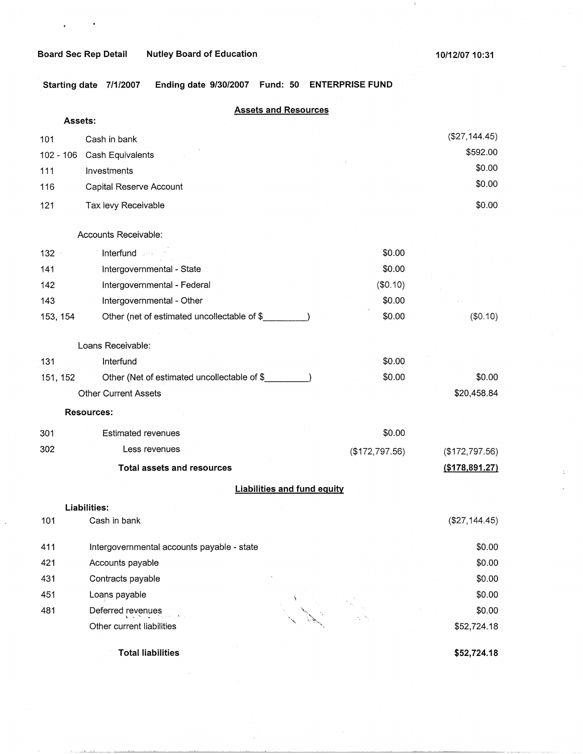$\epsilon$ 

 $\bullet$ 

 $\bar{1}$ 

**.Starting date 7/1/2007 Ending date 9/30/2007 Fund: 50 ENTERPRISE FUND** 

|                  |                                              | <b>Assets and Resources</b>        |                |                |
|------------------|----------------------------------------------|------------------------------------|----------------|----------------|
| Assets:          |                                              |                                    |                |                |
| 101              | Cash in bank                                 |                                    |                | (\$27,144.45)  |
| $102 - 106$      | Cash Equivalents                             |                                    |                | \$592.00       |
| 111              | Investments                                  |                                    |                | \$0.00         |
| 116              | Capital Reserve Account                      |                                    |                | \$0.00         |
| 121              | Tax levy Receivable                          |                                    |                | \$0.00         |
|                  | Accounts Receivable:                         |                                    |                |                |
| 132 <sub>1</sub> | Interfund                                    |                                    | \$0.00         |                |
| 141              | Intergovernmental - State                    |                                    | \$0.00         |                |
| 142              | Intergovernmental - Federal                  |                                    | (\$0.10)       |                |
| 143              | Intergovernmental - Other                    |                                    | \$0.00         |                |
| 153, 154         | Other (net of estimated uncollectable of \$_ |                                    | \$0.00         | (\$0.10)       |
|                  | Loans Receivable:                            |                                    |                |                |
| 131              | Interfund                                    |                                    | \$0.00         |                |
| 151, 152         | Other (Net of estimated uncollectable of \$  |                                    | \$0.00         | \$0.00         |
|                  | <b>Other Current Assets</b>                  |                                    |                | \$20,458.84    |
|                  | <b>Resources:</b>                            |                                    |                |                |
| 301              | <b>Estimated revenues</b>                    |                                    | \$0.00         |                |
| 302              | Less revenues                                |                                    | (\$172,797.56) | (\$172,797.56) |
|                  | <b>Total assets and resources</b>            |                                    |                | (\$178,891.27) |
|                  |                                              | <b>Liabilities and fund equity</b> |                |                |
|                  | Liabilities:                                 |                                    |                |                |
| 101              | Cash in bank                                 |                                    |                | (\$27,144.45)  |
| 411              | Intergovernmental accounts payable - state   |                                    |                | \$0.00         |
| 421              | Accounts payable                             |                                    |                | \$0.00         |
| 431              | Contracts payable                            |                                    |                | \$0.00         |
| 451              | Loans payable                                |                                    |                | \$0.00         |
| 481              | Deferred revenues                            |                                    |                | \$0.00         |
|                  | Other current liabilities                    |                                    |                | \$52,724.18    |

**Total liabilities** 

a.<br>Galeria

**\$52,724.18**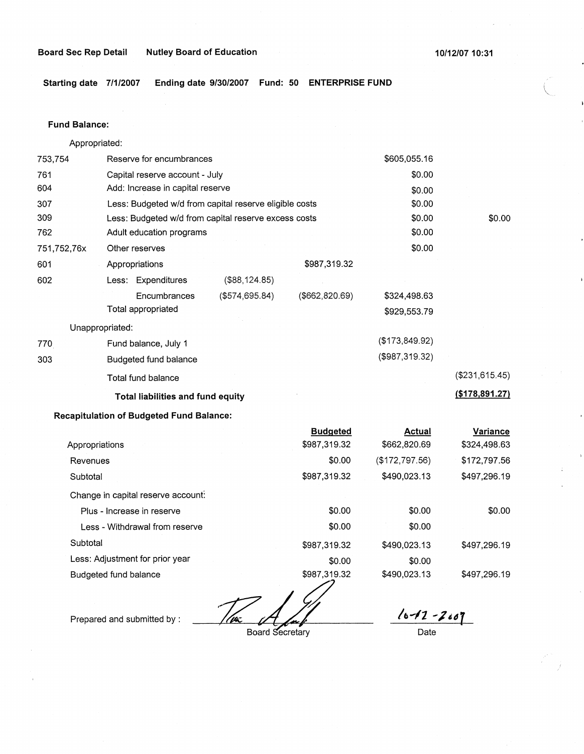**10/12/0710:31** 

**Starting date 7/1/2007 Ending date 9/30/2007 Fund: 50 ENTERPRISE FUND** 

## **Fund Balance:**

Appropriated:

| 753,754        | Reserve for encumbrances                               |                |                 | \$605,055.16   |                  |
|----------------|--------------------------------------------------------|----------------|-----------------|----------------|------------------|
| 761            | Capital reserve account - July                         |                |                 | \$0.00         |                  |
| 604            | Add: Increase in capital reserve                       |                |                 | \$0.00         |                  |
| 307            | Less: Budgeted w/d from capital reserve eligible costs |                |                 | \$0.00         |                  |
| 309            | Less: Budgeted w/d from capital reserve excess costs   |                |                 | \$0.00         | \$0.00           |
| 762            | Adult education programs                               |                |                 | \$0.00         |                  |
| 751,752,76x    | Other reserves                                         |                |                 | \$0.00         |                  |
| 601            | Appropriations                                         |                | \$987,319.32    |                |                  |
| 602            | Less: Expenditures                                     | (\$88, 124.85) |                 |                |                  |
|                | Encumbrances                                           | (\$574,695.84) | (\$662, 820.69) | \$324,498.63   |                  |
|                | Total appropriated                                     |                |                 | \$929,553.79   |                  |
|                | Unappropriated:                                        |                |                 |                |                  |
| 770            | Fund balance, July 1                                   |                |                 | (\$173,849.92) |                  |
| 303            | Budgeted fund balance                                  |                |                 | (\$987,319.32) |                  |
|                | Total fund balance                                     |                |                 |                | (\$231,615.45)   |
|                | Total liabilities and fund equity                      |                |                 |                | ( \$178, 891.27) |
|                | <b>Recapitulation of Budgeted Fund Balance:</b>        |                |                 |                |                  |
|                |                                                        |                | <b>Budgeted</b> | <b>Actual</b>  | Variance         |
| Appropriations |                                                        |                | \$987,319.32    | \$662,820.69   | \$324,498.63     |
| Revenues       |                                                        |                | \$0.00          | (\$172,797.56) | \$172,797.56     |
| Subtotal       |                                                        |                | \$987,319.32    | \$490,023.13   | \$497,296.19     |
|                | Change in capital reserve account:                     |                |                 |                |                  |
|                | Plus - Increase in reserve                             |                | \$0.00          | \$0.00         | \$0.00           |
|                | Less - Withdrawal from reserve                         |                | \$0.00          | \$0.00         |                  |
| Subtotal       |                                                        |                | \$987,319.32    | \$490,023.13   | \$497,296.19     |
|                | Less: Adjustment for prior year                        |                | \$0.00          | \$0.00         |                  |

Budgeted fund balance

'(pa

\$987,319.32

Prepared and submitted by :

Board Secretary

 $10 - 12 - 2007$ 

\$497,296.19

Date

\$490,023.13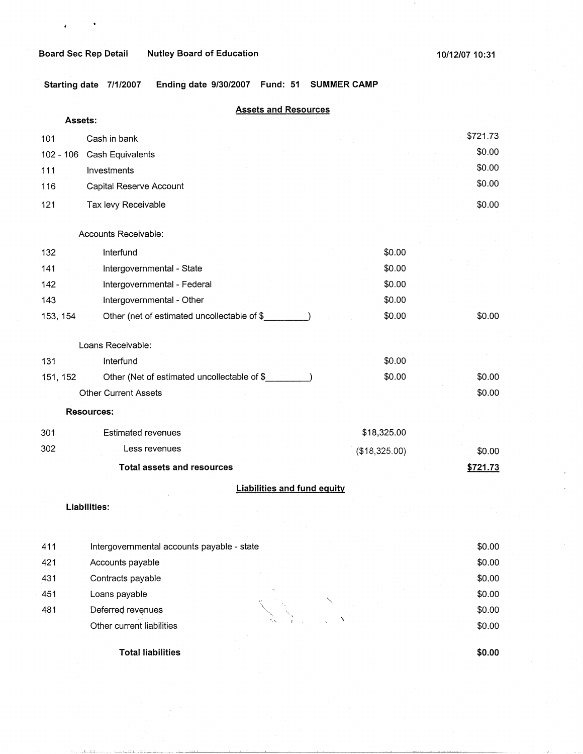## **Board Sec Rep Detail Mutley Board of Education 10/12/07 10:31 10/12/07 10:31**

**Starting date 7/1/2007 Ending date 9/30/2007 Fund: 51 SUMMER CAMP** 

## **Assets and Resources**

| Assets:     |                                             |               |          |
|-------------|---------------------------------------------|---------------|----------|
| 101         | Cash in bank                                |               | \$721.73 |
| $102 - 106$ | Cash Equivalents                            |               | \$0.00   |
| 111         | Investments                                 |               | \$0.00   |
| 116         | Capital Reserve Account                     |               | \$0.00   |
| 121         | Tax levy Receivable                         |               | \$0.00   |
|             | Accounts Receivable:                        |               |          |
| 132         | Interfund                                   | \$0.00        |          |
| 141         | Intergovernmental - State                   | \$0.00        |          |
| 142         | Intergovernmental - Federal                 | \$0.00        |          |
| 143         | Intergovernmental - Other                   | \$0.00        |          |
| 153, 154    | Other (net of estimated uncollectable of \$ | \$0.00        | \$0.00   |
|             | Loans Receivable:                           |               |          |
| 131         | Interfund                                   | \$0.00        |          |
| 151, 152    | Other (Net of estimated uncollectable of \$ | \$0.00        | \$0.00   |
|             | <b>Other Current Assets</b>                 |               | \$0.00   |
|             | <b>Resources:</b>                           |               |          |
| 301         | <b>Estimated revenues</b>                   | \$18,325.00   |          |
| 302         | Less revenues                               | (\$18,325.00) | \$0.00   |
|             | <b>Total assets and resources</b>           |               | \$721.73 |
|             | <b>Liabilities and fund equity</b>          |               |          |
|             | Liabilities:                                |               |          |
|             |                                             |               |          |
| 411         | Intergovernmental accounts payable - state  |               | \$0.00   |
| 421         | Accounts payable                            |               | \$0.00   |
| 431         | Contracts payable                           |               | \$0.00   |
| 451         | Loans payable                               |               | \$0.00   |
| 481         | Deferred revenues                           |               | \$0.00   |
|             |                                             |               |          |

**Total liabilities** 

Other current liabilities

**\$0.00** 

\$0.00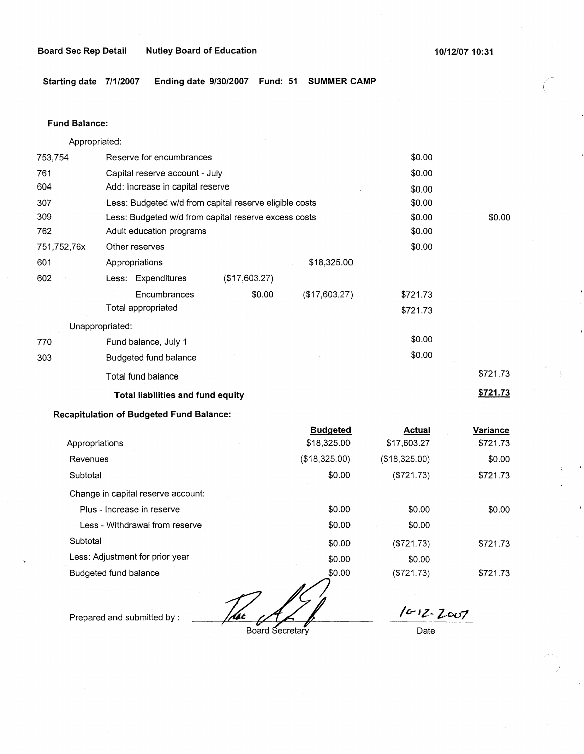**Board Sec Rep Detail Nutley Board of Education 100 100 100 100 100 100 100 10:31 10:31 10:31 10:31 10:31 10:31 10:31 10:31 10:31 10:31 10:31 10:31 10:31 10:31 10:31 10:31 10:31 10:31 10:31 10:31 10:31 10:31 10:31 10:31 10** 

**Starting date 7/1/2007 Ending date 9/30/2007 Fund: 51 SUMMER CAMP** 

## **Fund Balance:**

753,754 761 604 Appropriated: Reserve for encumbrances Capital reserve account - July Add: Increase in capital reserve 307 309 762 751,752,76x 601 Less: Budgeted w/d from capital reserve eligible costs Less: Budgeted w/d from capital reserve excess costs Adult education programs 602 other reserves Appropriations **Less:** Expenditures Encumbrances Total appropriated Unappropriated: 770 Fund balance, July 1 303 Budgeted fund balance Total fund balance (\$17,603.27) \$0.00 \$18,325.00 (\$17,603.27) **Total liabilities and fund equity Recapitulation of Budgeted Fund Balance:**  Appropriations Revenues **Subtotal** Change in capital reserve account: Plus - Increase in reserve **Budgeted**  \$18,325.00 (\$18,325.00) \$0.00 \$0.00 \$0.00 \$0.00 \$0.00 \$0.00 \$0.00 \$0.00 \$0.00 \$0.00 \$721.73 \$721.73 \$0.00 \$0.00 \$721.73 **\$721.73 Actual Variance**  \$17,603.27 \$721.73  $($18,325.00)$   $$0.00$ (\$721.73) \$721.73 \$0.00 \$0.00

Less - Withdrawal from reserve **Subtotal** Less: Adjustment for prior year Budgeted fund balance

That All

\$0.00 \$0.00 \$0.00 \$0.00

Prepared and submitted by :

Board Secretary

 $16 - 12 - 2007$ 

(\$721.73) \$721.73

(\$721.73) \$721.73

)

Date

\$0.00

\$0.00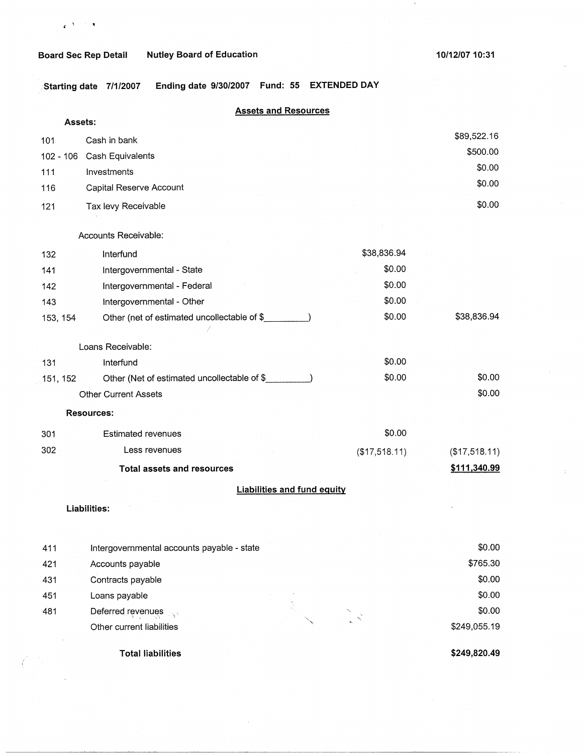$\mathbf{r}^{(\mathcal{A})}$  . <br> : <br>  $\mathbf{x}$ 

**10/12/07 10:31** 

 $\,$   $\,$ 

**1Starting date 7/1/2007 Ending date 9/30/2007 Fund: 55 EXTENDED DAY** 

# **Assets and Resources**

| Assets:     |                                             |               |               |
|-------------|---------------------------------------------|---------------|---------------|
| 101         | Cash in bank                                |               | \$89,522.16   |
| $102 - 106$ | Cash Equivalents                            |               | \$500.00      |
| 111         | Investments                                 |               | \$0.00        |
| 116         | Capital Reserve Account                     |               | \$0.00        |
| 121         | Tax levy Receivable                         |               | \$0.00        |
|             | Accounts Receivable:                        |               |               |
| 132         | Interfund                                   | \$38,836.94   |               |
| 141         | Intergovernmental - State                   | \$0.00        |               |
| 142         | Intergovernmental - Federal                 | \$0.00        |               |
| 143         | Intergovernmental - Other                   | \$0.00        |               |
| 153, 154    | Other (net of estimated uncollectable of \$ | \$0.00        | \$38,836.94   |
|             |                                             |               |               |
|             | Loans Receivable:                           |               |               |
| 131         | Interfund                                   | \$0.00        |               |
| 151, 152    | Other (Net of estimated uncollectable of \$ | \$0.00        | \$0.00        |
|             | <b>Other Current Assets</b>                 |               | \$0.00        |
|             | <b>Resources:</b>                           |               |               |
| 301         | <b>Estimated revenues</b>                   | \$0.00        |               |
| 302         | Less revenues                               | (\$17,518.11) | (\$17,518.11) |
|             | <b>Total assets and resources</b>           |               | \$111,340.99  |
|             | <b>Liabilities and fund equity</b>          |               |               |
|             | Liabilities:                                |               |               |
|             |                                             |               |               |
|             |                                             |               |               |
| 411         | Intergovernmental accounts payable - state  |               | \$0.00        |
| 421         | Accounts payable                            |               | \$765.30      |
| 431         | Contracts payable                           |               | \$0.00        |
| 451         | Loans payable                               |               | \$0.00        |
| 481         | Deferred revenues                           |               | \$0.00        |
|             | Other current liabilities                   |               | \$249,055.19  |

**Total liabilities** 

**\$249,820.49**